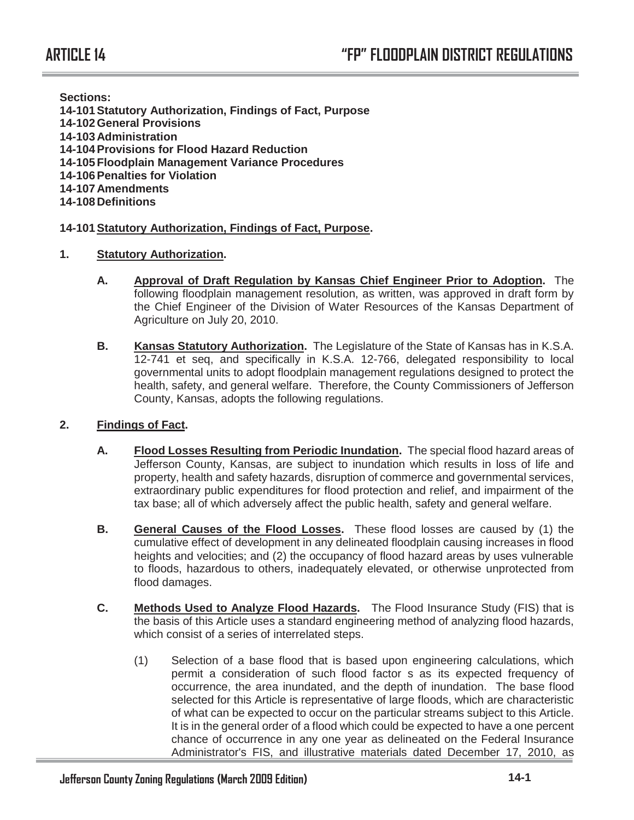**Sections:** 

- **14-101 Statutory Authorization, Findings of Fact, Purpose**
- **14-102 General Provisions**
- **14-103 Administration**
- **14-104 Provisions for Flood Hazard Reduction**
- **14-105 Floodplain Management Variance Procedures**
- **14-106 Penalties for Violation**
- **14-107 Amendments**
- **14-108 Definitions**

# **14-101 Statutory Authorization, Findings of Fact, Purpose.**

- **1. Statutory Authorization.** 
	- **A. Approval of Draft Regulation by Kansas Chief Engineer Prior to Adoption.** The following floodplain management resolution, as written, was approved in draft form by the Chief Engineer of the Division of Water Resources of the Kansas Department of Agriculture on July 20, 2010.
	- **B. Kansas Statutory Authorization.** The Legislature of the State of Kansas has in K.S.A. 12-741 et seq, and specifically in K.S.A. 12-766, delegated responsibility to local governmental units to adopt floodplain management regulations designed to protect the health, safety, and general welfare. Therefore, the County Commissioners of Jefferson County, Kansas, adopts the following regulations.

# **2. Findings of Fact.**

- **A. Flood Losses Resulting from Periodic Inundation.** The special flood hazard areas of Jefferson County, Kansas, are subject to inundation which results in loss of life and property, health and safety hazards, disruption of commerce and governmental services, extraordinary public expenditures for flood protection and relief, and impairment of the tax base; all of which adversely affect the public health, safety and general welfare.
- **B. General Causes of the Flood Losses.** These flood losses are caused by (1) the cumulative effect of development in any delineated floodplain causing increases in flood heights and velocities; and (2) the occupancy of flood hazard areas by uses vulnerable to floods, hazardous to others, inadequately elevated, or otherwise unprotected from flood damages.
- **C. Methods Used to Analyze Flood Hazards.** The Flood Insurance Study (FIS) that is the basis of this Article uses a standard engineering method of analyzing flood hazards, which consist of a series of interrelated steps.
	- (1) Selection of a base flood that is based upon engineering calculations, which permit a consideration of such flood factor s as its expected frequency of occurrence, the area inundated, and the depth of inundation. The base flood selected for this Article is representative of large floods, which are characteristic of what can be expected to occur on the particular streams subject to this Article. It is in the general order of a flood which could be expected to have a one percent chance of occurrence in any one year as delineated on the Federal Insurance Administrator's FIS, and illustrative materials dated December 17, 2010, as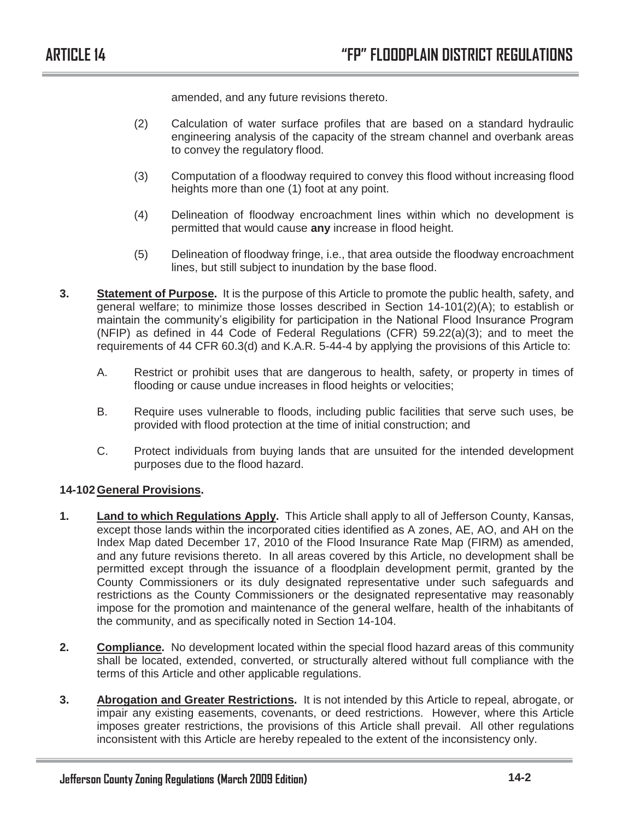amended, and any future revisions thereto.

- (2) Calculation of water surface profiles that are based on a standard hydraulic engineering analysis of the capacity of the stream channel and overbank areas to convey the regulatory flood.
- (3) Computation of a floodway required to convey this flood without increasing flood heights more than one (1) foot at any point.
- (4) Delineation of floodway encroachment lines within which no development is permitted that would cause **any** increase in flood height.
- (5) Delineation of floodway fringe, i.e., that area outside the floodway encroachment lines, but still subject to inundation by the base flood.
- **3. Statement of Purpose.** It is the purpose of this Article to promote the public health, safety, and general welfare; to minimize those losses described in Section 14-101(2)(A); to establish or maintain the community's eligibility for participation in the National Flood Insurance Program (NFIP) as defined in 44 Code of Federal Regulations (CFR) 59.22(a)(3); and to meet the requirements of 44 CFR 60.3(d) and K.A.R. 5-44-4 by applying the provisions of this Article to:
	- A. Restrict or prohibit uses that are dangerous to health, safety, or property in times of flooding or cause undue increases in flood heights or velocities;
	- B. Require uses vulnerable to floods, including public facilities that serve such uses, be provided with flood protection at the time of initial construction; and
	- C. Protect individuals from buying lands that are unsuited for the intended development purposes due to the flood hazard.

## **14-102 General Provisions.**

- **1. Land to which Regulations Apply.** This Article shall apply to all of Jefferson County, Kansas, except those lands within the incorporated cities identified as A zones, AE, AO, and AH on the Index Map dated December 17, 2010 of the Flood Insurance Rate Map (FIRM) as amended, and any future revisions thereto. In all areas covered by this Article, no development shall be permitted except through the issuance of a floodplain development permit, granted by the County Commissioners or its duly designated representative under such safeguards and restrictions as the County Commissioners or the designated representative may reasonably impose for the promotion and maintenance of the general welfare, health of the inhabitants of the community, and as specifically noted in Section 14-104.
- **2. Compliance.** No development located within the special flood hazard areas of this community shall be located, extended, converted, or structurally altered without full compliance with the terms of this Article and other applicable regulations.
- **3. Abrogation and Greater Restrictions.** It is not intended by this Article to repeal, abrogate, or impair any existing easements, covenants, or deed restrictions. However, where this Article imposes greater restrictions, the provisions of this Article shall prevail. All other regulations inconsistent with this Article are hereby repealed to the extent of the inconsistency only.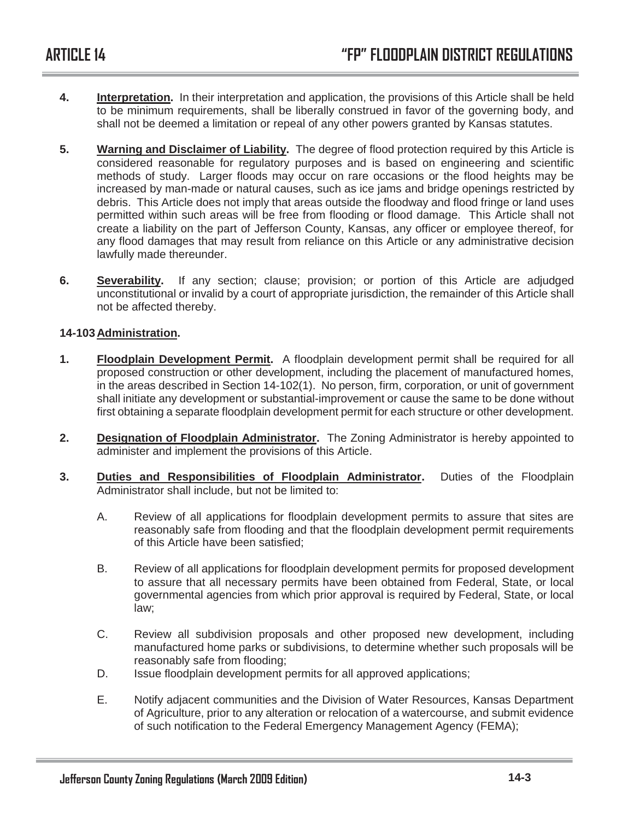- **4. Interpretation.** In their interpretation and application, the provisions of this Article shall be held to be minimum requirements, shall be liberally construed in favor of the governing body, and shall not be deemed a limitation or repeal of any other powers granted by Kansas statutes.
- **5. Warning and Disclaimer of Liability.** The degree of flood protection required by this Article is considered reasonable for regulatory purposes and is based on engineering and scientific methods of study. Larger floods may occur on rare occasions or the flood heights may be increased by man-made or natural causes, such as ice jams and bridge openings restricted by debris. This Article does not imply that areas outside the floodway and flood fringe or land uses permitted within such areas will be free from flooding or flood damage. This Article shall not create a liability on the part of Jefferson County, Kansas, any officer or employee thereof, for any flood damages that may result from reliance on this Article or any administrative decision lawfully made thereunder.
- **6. Severability.** If any section; clause; provision; or portion of this Article are adjudged unconstitutional or invalid by a court of appropriate jurisdiction, the remainder of this Article shall not be affected thereby.

## **14-103 Administration.**

- **1. Floodplain Development Permit.** A floodplain development permit shall be required for all proposed construction or other development, including the placement of manufactured homes, in the areas described in Section 14-102(1). No person, firm, corporation, or unit of government shall initiate any development or substantial-improvement or cause the same to be done without first obtaining a separate floodplain development permit for each structure or other development.
- **2. Designation of Floodplain Administrator.** The Zoning Administrator is hereby appointed to administer and implement the provisions of this Article.
- **3. Duties and Responsibilities of Floodplain Administrator.** Duties of the Floodplain Administrator shall include, but not be limited to:
	- A. Review of all applications for floodplain development permits to assure that sites are reasonably safe from flooding and that the floodplain development permit requirements of this Article have been satisfied;
	- B. Review of all applications for floodplain development permits for proposed development to assure that all necessary permits have been obtained from Federal, State, or local governmental agencies from which prior approval is required by Federal, State, or local law;
	- C. Review all subdivision proposals and other proposed new development, including manufactured home parks or subdivisions, to determine whether such proposals will be reasonably safe from flooding;
	- D. Issue floodplain development permits for all approved applications;
	- E. Notify adjacent communities and the Division of Water Resources, Kansas Department of Agriculture, prior to any alteration or relocation of a watercourse, and submit evidence of such notification to the Federal Emergency Management Agency (FEMA);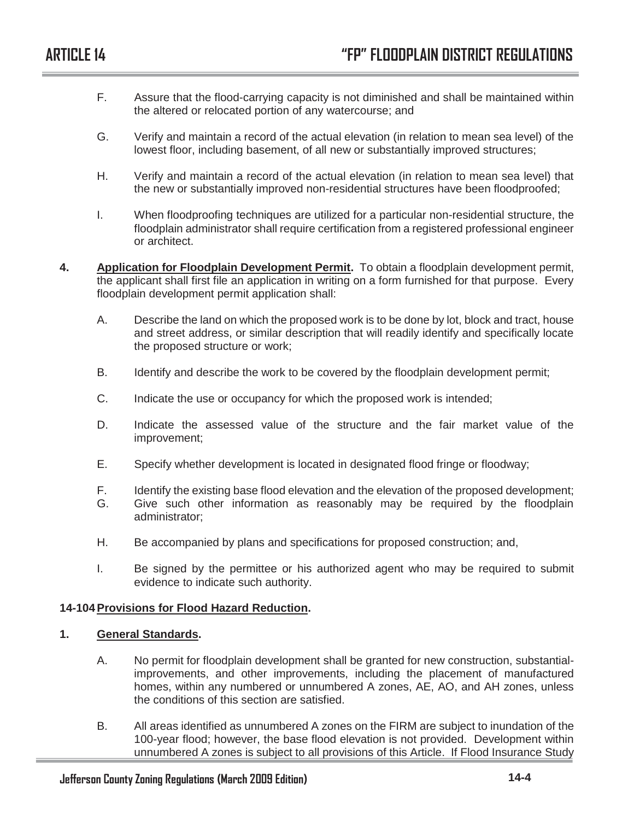- F. Assure that the flood-carrying capacity is not diminished and shall be maintained within the altered or relocated portion of any watercourse; and
- G. Verify and maintain a record of the actual elevation (in relation to mean sea level) of the lowest floor, including basement, of all new or substantially improved structures;
- H. Verify and maintain a record of the actual elevation (in relation to mean sea level) that the new or substantially improved non-residential structures have been floodproofed;
- I. When floodproofing techniques are utilized for a particular non-residential structure, the floodplain administrator shall require certification from a registered professional engineer or architect.
- **4. Application for Floodplain Development Permit.** To obtain a floodplain development permit, the applicant shall first file an application in writing on a form furnished for that purpose. Every floodplain development permit application shall:
	- A. Describe the land on which the proposed work is to be done by lot, block and tract, house and street address, or similar description that will readily identify and specifically locate the proposed structure or work;
	- B. Identify and describe the work to be covered by the floodplain development permit;
	- C. Indicate the use or occupancy for which the proposed work is intended;
	- D. Indicate the assessed value of the structure and the fair market value of the improvement;
	- E. Specify whether development is located in designated flood fringe or floodway;
	- F. Identify the existing base flood elevation and the elevation of the proposed development;
	- G. Give such other information as reasonably may be required by the floodplain administrator;
	- H. Be accompanied by plans and specifications for proposed construction; and,
	- I. Be signed by the permittee or his authorized agent who may be required to submit evidence to indicate such authority.

## **14-104 Provisions for Flood Hazard Reduction.**

## **1. General Standards.**

- A. No permit for floodplain development shall be granted for new construction, substantialimprovements, and other improvements, including the placement of manufactured homes, within any numbered or unnumbered A zones, AE, AO, and AH zones, unless the conditions of this section are satisfied.
- B. All areas identified as unnumbered A zones on the FIRM are subject to inundation of the 100-year flood; however, the base flood elevation is not provided. Development within unnumbered A zones is subject to all provisions of this Article. If Flood Insurance Study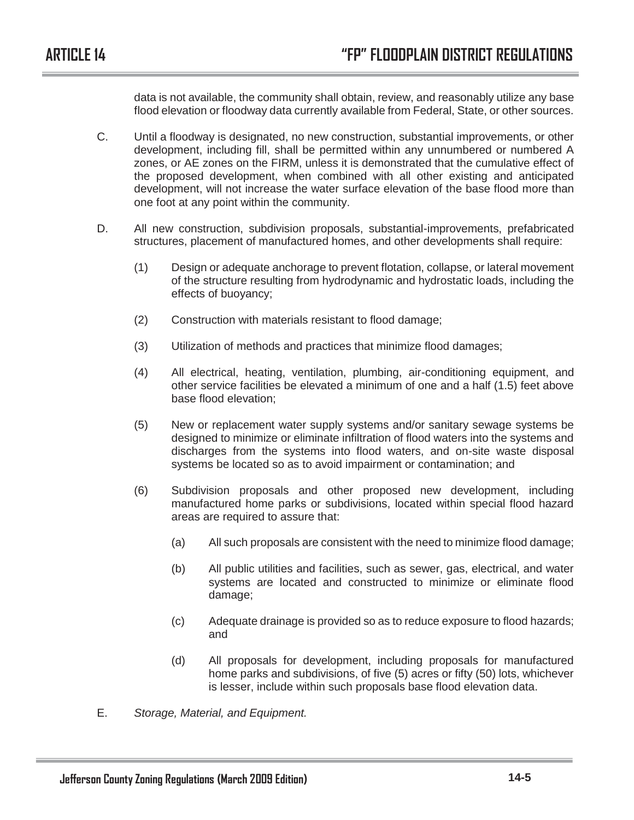data is not available, the community shall obtain, review, and reasonably utilize any base flood elevation or floodway data currently available from Federal, State, or other sources.

- C. Until a floodway is designated, no new construction, substantial improvements, or other development, including fill, shall be permitted within any unnumbered or numbered A zones, or AE zones on the FIRM, unless it is demonstrated that the cumulative effect of the proposed development, when combined with all other existing and anticipated development, will not increase the water surface elevation of the base flood more than one foot at any point within the community.
- D. All new construction, subdivision proposals, substantial-improvements, prefabricated structures, placement of manufactured homes, and other developments shall require:
	- (1) Design or adequate anchorage to prevent flotation, collapse, or lateral movement of the structure resulting from hydrodynamic and hydrostatic loads, including the effects of buoyancy;
	- (2) Construction with materials resistant to flood damage;
	- (3) Utilization of methods and practices that minimize flood damages;
	- (4) All electrical, heating, ventilation, plumbing, air-conditioning equipment, and other service facilities be elevated a minimum of one and a half (1.5) feet above base flood elevation;
	- (5) New or replacement water supply systems and/or sanitary sewage systems be designed to minimize or eliminate infiltration of flood waters into the systems and discharges from the systems into flood waters, and on-site waste disposal systems be located so as to avoid impairment or contamination; and
	- (6) Subdivision proposals and other proposed new development, including manufactured home parks or subdivisions, located within special flood hazard areas are required to assure that:
		- (a) All such proposals are consistent with the need to minimize flood damage;
		- (b) All public utilities and facilities, such as sewer, gas, electrical, and water systems are located and constructed to minimize or eliminate flood damage;
		- (c) Adequate drainage is provided so as to reduce exposure to flood hazards; and
		- (d) All proposals for development, including proposals for manufactured home parks and subdivisions, of five (5) acres or fifty (50) lots, whichever is lesser, include within such proposals base flood elevation data.
- E. *Storage, Material, and Equipment.*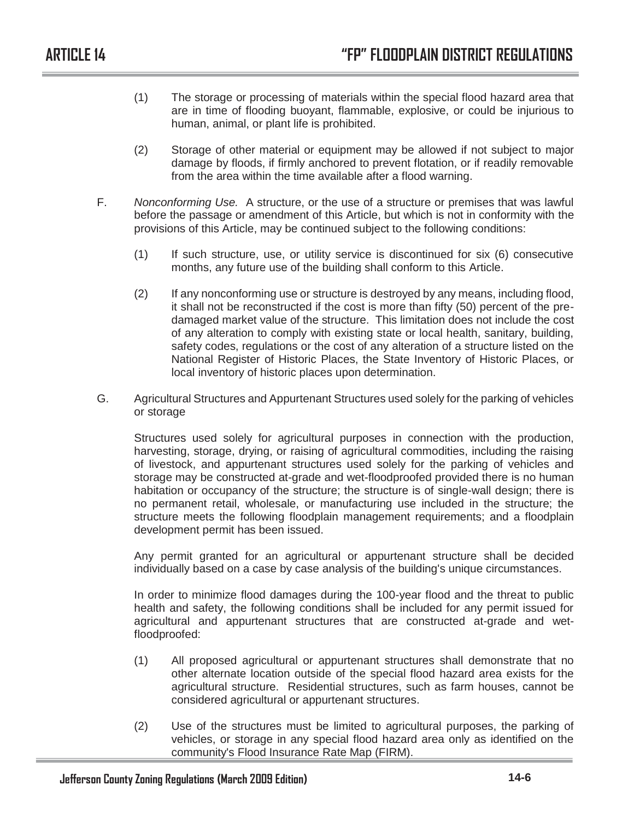- (1) The storage or processing of materials within the special flood hazard area that are in time of flooding buoyant, flammable, explosive, or could be injurious to human, animal, or plant life is prohibited.
- (2) Storage of other material or equipment may be allowed if not subject to major damage by floods, if firmly anchored to prevent flotation, or if readily removable from the area within the time available after a flood warning.
- F. *Nonconforming Use.* A structure, or the use of a structure or premises that was lawful before the passage or amendment of this Article, but which is not in conformity with the provisions of this Article, may be continued subject to the following conditions:
	- (1) If such structure, use, or utility service is discontinued for six (6) consecutive months, any future use of the building shall conform to this Article.
	- (2) If any nonconforming use or structure is destroyed by any means, including flood, it shall not be reconstructed if the cost is more than fifty (50) percent of the predamaged market value of the structure. This limitation does not include the cost of any alteration to comply with existing state or local health, sanitary, building, safety codes, regulations or the cost of any alteration of a structure listed on the National Register of Historic Places, the State Inventory of Historic Places, or local inventory of historic places upon determination.
- G. Agricultural Structures and Appurtenant Structures used solely for the parking of vehicles or storage

Structures used solely for agricultural purposes in connection with the production, harvesting, storage, drying, or raising of agricultural commodities, including the raising of livestock, and appurtenant structures used solely for the parking of vehicles and storage may be constructed at-grade and wet-floodproofed provided there is no human habitation or occupancy of the structure; the structure is of single-wall design; there is no permanent retail, wholesale, or manufacturing use included in the structure; the structure meets the following floodplain management requirements; and a floodplain development permit has been issued.

Any permit granted for an agricultural or appurtenant structure shall be decided individually based on a case by case analysis of the building's unique circumstances.

In order to minimize flood damages during the 100-year flood and the threat to public health and safety, the following conditions shall be included for any permit issued for agricultural and appurtenant structures that are constructed at-grade and wetfloodproofed:

- (1) All proposed agricultural or appurtenant structures shall demonstrate that no other alternate location outside of the special flood hazard area exists for the agricultural structure. Residential structures, such as farm houses, cannot be considered agricultural or appurtenant structures.
- (2) Use of the structures must be limited to agricultural purposes, the parking of vehicles, or storage in any special flood hazard area only as identified on the community's Flood Insurance Rate Map (FIRM).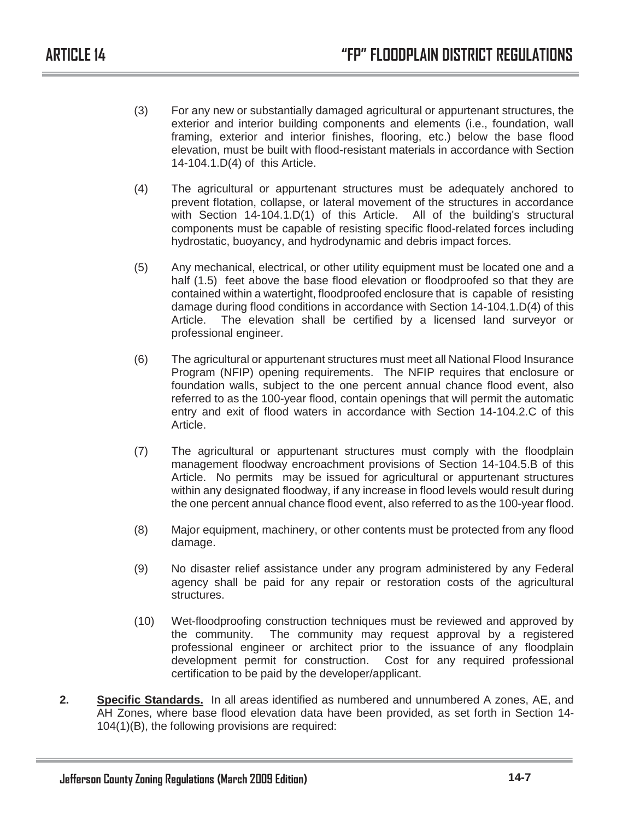- (3) For any new or substantially damaged agricultural or appurtenant structures, the exterior and interior building components and elements (i.e., foundation, wall framing, exterior and interior finishes, flooring, etc.) below the base flood elevation, must be built with flood-resistant materials in accordance with Section 14-104.1.D(4) of this Article.
- (4) The agricultural or appurtenant structures must be adequately anchored to prevent flotation, collapse, or lateral movement of the structures in accordance with Section 14-104.1.D(1) of this Article. All of the building's structural components must be capable of resisting specific flood-related forces including hydrostatic, buoyancy, and hydrodynamic and debris impact forces.
- (5) Any mechanical, electrical, or other utility equipment must be located one and a half (1.5) feet above the base flood elevation or floodproofed so that they are contained within a watertight, floodproofed enclosure that is capable of resisting damage during flood conditions in accordance with Section 14-104.1.D(4) of this Article. The elevation shall be certified by a licensed land surveyor or professional engineer.
- (6) The agricultural or appurtenant structures must meet all National Flood Insurance Program (NFIP) opening requirements. The NFIP requires that enclosure or foundation walls, subject to the one percent annual chance flood event, also referred to as the 100-year flood, contain openings that will permit the automatic entry and exit of flood waters in accordance with Section 14-104.2.C of this Article.
- (7) The agricultural or appurtenant structures must comply with the floodplain management floodway encroachment provisions of Section 14-104.5.B of this Article. No permits may be issued for agricultural or appurtenant structures within any designated floodway, if any increase in flood levels would result during the one percent annual chance flood event, also referred to as the 100-year flood.
- (8) Major equipment, machinery, or other contents must be protected from any flood damage.
- (9) No disaster relief assistance under any program administered by any Federal agency shall be paid for any repair or restoration costs of the agricultural structures.
- (10) Wet-floodproofing construction techniques must be reviewed and approved by the community. The community may request approval by a registered professional engineer or architect prior to the issuance of any floodplain development permit for construction. Cost for any required professional certification to be paid by the developer/applicant.
- **2. Specific Standards.** In all areas identified as numbered and unnumbered A zones, AE, and AH Zones, where base flood elevation data have been provided, as set forth in Section 14- 104(1)(B), the following provisions are required: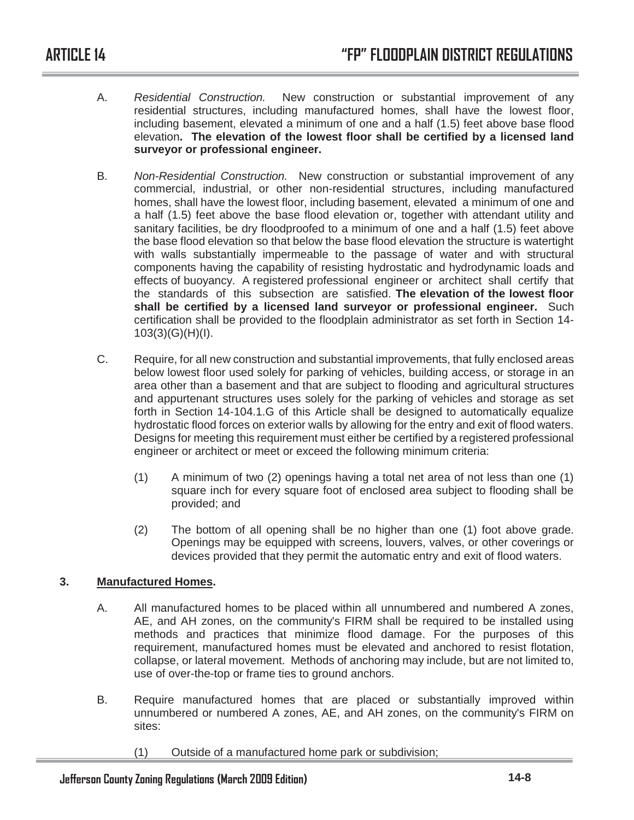- A. *Residential Construction.* New construction or substantial improvement of any residential structures, including manufactured homes, shall have the lowest floor, including basement, elevated a minimum of one and a half (1.5) feet above base flood elevation**. The elevation of the lowest floor shall be certified by a licensed land surveyor or professional engineer.**
- B. *Non-Residential Construction.* New construction or substantial improvement of any commercial, industrial, or other non-residential structures, including manufactured homes, shall have the lowest floor, including basement, elevated a minimum of one and a half (1.5) feet above the base flood elevation or, together with attendant utility and sanitary facilities, be dry floodproofed to a minimum of one and a half (1.5) feet above the base flood elevation so that below the base flood elevation the structure is watertight with walls substantially impermeable to the passage of water and with structural components having the capability of resisting hydrostatic and hydrodynamic loads and effects of buoyancy. A registered professional engineer or architect shall certify that the standards of this subsection are satisfied. **The elevation of the lowest floor shall be certified by a licensed land surveyor or professional engineer.** Such certification shall be provided to the floodplain administrator as set forth in Section 14- 103(3)(G)(H)(I).
- C. Require, for all new construction and substantial improvements, that fully enclosed areas below lowest floor used solely for parking of vehicles, building access, or storage in an area other than a basement and that are subject to flooding and agricultural structures and appurtenant structures uses solely for the parking of vehicles and storage as set forth in Section 14-104.1.G of this Article shall be designed to automatically equalize hydrostatic flood forces on exterior walls by allowing for the entry and exit of flood waters. Designs for meeting this requirement must either be certified by a registered professional engineer or architect or meet or exceed the following minimum criteria:
	- (1) A minimum of two (2) openings having a total net area of not less than one (1) square inch for every square foot of enclosed area subject to flooding shall be provided; and
	- (2) The bottom of all opening shall be no higher than one (1) foot above grade. Openings may be equipped with screens, louvers, valves, or other coverings or devices provided that they permit the automatic entry and exit of flood waters.

## **3. Manufactured Homes.**

- A. All manufactured homes to be placed within all unnumbered and numbered A zones, AE, and AH zones, on the community's FIRM shall be required to be installed using methods and practices that minimize flood damage. For the purposes of this requirement, manufactured homes must be elevated and anchored to resist flotation, collapse, or lateral movement. Methods of anchoring may include, but are not limited to, use of over-the-top or frame ties to ground anchors.
- B. Require manufactured homes that are placed or substantially improved within unnumbered or numbered A zones, AE, and AH zones, on the community's FIRM on sites:
	- (1) Outside of a manufactured home park or subdivision;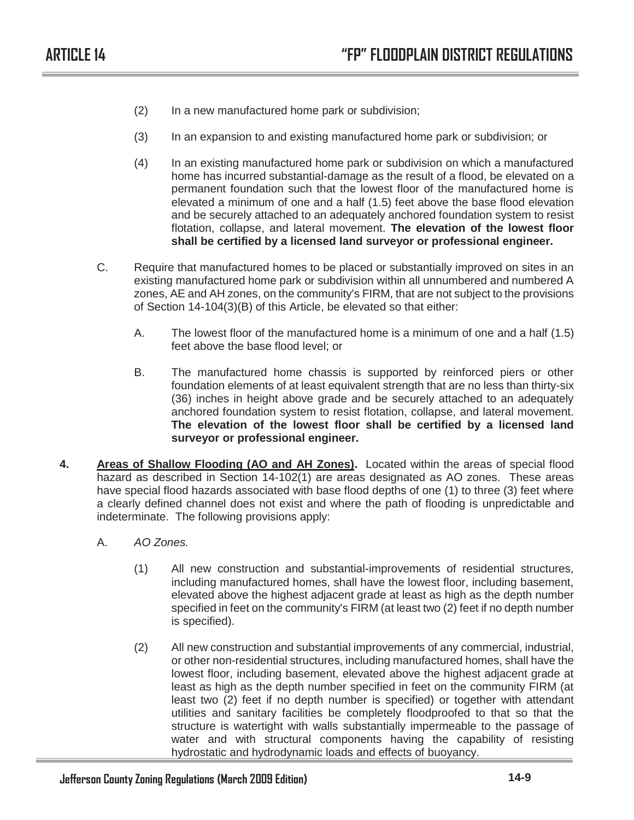- (2) In a new manufactured home park or subdivision;
- (3) In an expansion to and existing manufactured home park or subdivision; or
- (4) In an existing manufactured home park or subdivision on which a manufactured home has incurred substantial-damage as the result of a flood, be elevated on a permanent foundation such that the lowest floor of the manufactured home is elevated a minimum of one and a half (1.5) feet above the base flood elevation and be securely attached to an adequately anchored foundation system to resist flotation, collapse, and lateral movement. **The elevation of the lowest floor shall be certified by a licensed land surveyor or professional engineer.**
- C. Require that manufactured homes to be placed or substantially improved on sites in an existing manufactured home park or subdivision within all unnumbered and numbered A zones, AE and AH zones, on the community's FIRM, that are not subject to the provisions of Section 14-104(3)(B) of this Article, be elevated so that either:
	- A. The lowest floor of the manufactured home is a minimum of one and a half (1.5) feet above the base flood level; or
	- B. The manufactured home chassis is supported by reinforced piers or other foundation elements of at least equivalent strength that are no less than thirty-six (36) inches in height above grade and be securely attached to an adequately anchored foundation system to resist flotation, collapse, and lateral movement. **The elevation of the lowest floor shall be certified by a licensed land surveyor or professional engineer.**
- **4. Areas of Shallow Flooding (AO and AH Zones).** Located within the areas of special flood hazard as described in Section 14-102(1) are areas designated as AO zones. These areas have special flood hazards associated with base flood depths of one (1) to three (3) feet where a clearly defined channel does not exist and where the path of flooding is unpredictable and indeterminate. The following provisions apply:
	- A. *AO Zones.*
		- (1) All new construction and substantial-improvements of residential structures, including manufactured homes, shall have the lowest floor, including basement, elevated above the highest adjacent grade at least as high as the depth number specified in feet on the community's FIRM (at least two (2) feet if no depth number is specified).
		- (2) All new construction and substantial improvements of any commercial, industrial, or other non-residential structures, including manufactured homes, shall have the lowest floor, including basement, elevated above the highest adjacent grade at least as high as the depth number specified in feet on the community FIRM (at least two (2) feet if no depth number is specified) or together with attendant utilities and sanitary facilities be completely floodproofed to that so that the structure is watertight with walls substantially impermeable to the passage of water and with structural components having the capability of resisting hydrostatic and hydrodynamic loads and effects of buoyancy.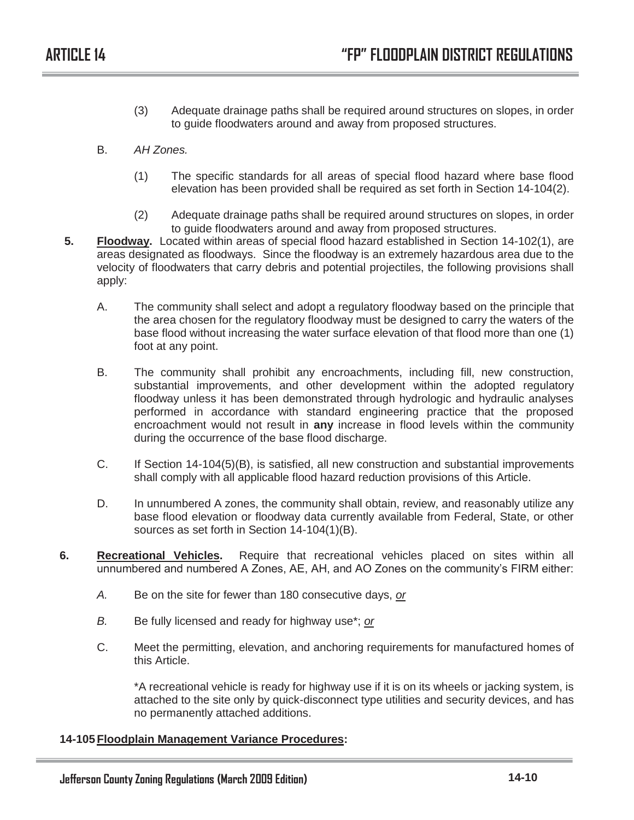- (3) Adequate drainage paths shall be required around structures on slopes, in order to guide floodwaters around and away from proposed structures.
- B. *AH Zones.*
	- (1) The specific standards for all areas of special flood hazard where base flood elevation has been provided shall be required as set forth in Section 14-104(2).
	- (2) Adequate drainage paths shall be required around structures on slopes, in order to guide floodwaters around and away from proposed structures.
- **5. Floodway.** Located within areas of special flood hazard established in Section 14-102(1), are areas designated as floodways. Since the floodway is an extremely hazardous area due to the velocity of floodwaters that carry debris and potential projectiles, the following provisions shall apply:
	- A. The community shall select and adopt a regulatory floodway based on the principle that the area chosen for the regulatory floodway must be designed to carry the waters of the base flood without increasing the water surface elevation of that flood more than one (1) foot at any point.
	- B. The community shall prohibit any encroachments, including fill, new construction, substantial improvements, and other development within the adopted regulatory floodway unless it has been demonstrated through hydrologic and hydraulic analyses performed in accordance with standard engineering practice that the proposed encroachment would not result in **any** increase in flood levels within the community during the occurrence of the base flood discharge.
	- C. If Section 14-104(5)(B), is satisfied, all new construction and substantial improvements shall comply with all applicable flood hazard reduction provisions of this Article.
	- D. In unnumbered A zones, the community shall obtain, review, and reasonably utilize any base flood elevation or floodway data currently available from Federal, State, or other sources as set forth in Section 14-104(1)(B).
- **6. Recreational Vehicles.** Require that recreational vehicles placed on sites within all unnumbered and numbered A Zones, AE, AH, and AO Zones on the community's FIRM either:
	- *A.* Be on the site for fewer than 180 consecutive days, *or*
	- *B.* Be fully licensed and ready for highway use\*; *or*
	- C. Meet the permitting, elevation, and anchoring requirements for manufactured homes of this Article.

\*A recreational vehicle is ready for highway use if it is on its wheels or jacking system, is attached to the site only by quick-disconnect type utilities and security devices, and has no permanently attached additions.

## **14-105 Floodplain Management Variance Procedures:**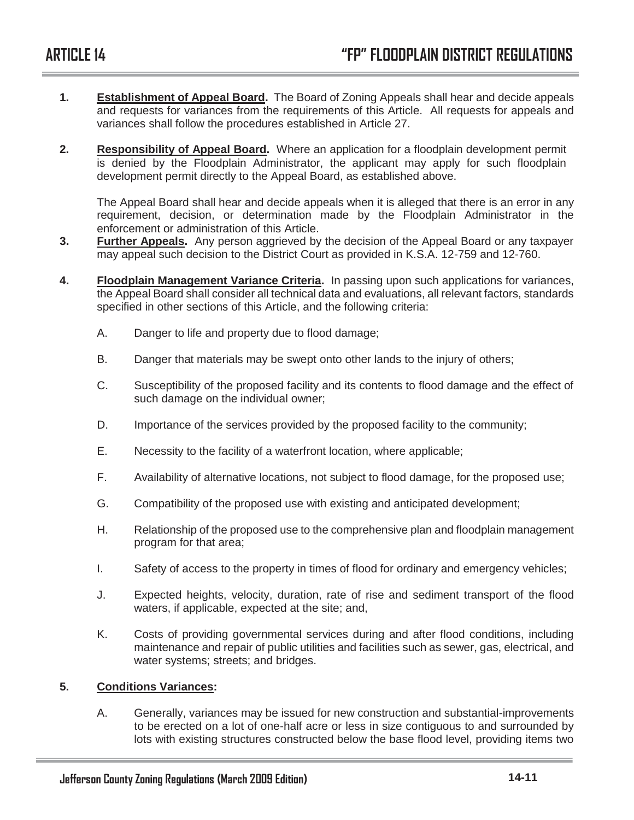- **1. Establishment of Appeal Board.** The Board of Zoning Appeals shall hear and decide appeals and requests for variances from the requirements of this Article. All requests for appeals and variances shall follow the procedures established in Article 27.
- **2. Responsibility of Appeal Board.** Where an application for a floodplain development permit is denied by the Floodplain Administrator, the applicant may apply for such floodplain development permit directly to the Appeal Board, as established above.

The Appeal Board shall hear and decide appeals when it is alleged that there is an error in any requirement, decision, or determination made by the Floodplain Administrator in the enforcement or administration of this Article.

- **3. Further Appeals.** Any person aggrieved by the decision of the Appeal Board or any taxpayer may appeal such decision to the District Court as provided in K.S.A. 12-759 and 12-760.
- **4. Floodplain Management Variance Criteria.** In passing upon such applications for variances, the Appeal Board shall consider all technical data and evaluations, all relevant factors, standards specified in other sections of this Article, and the following criteria:
	- A. Danger to life and property due to flood damage;
	- B. Danger that materials may be swept onto other lands to the injury of others;
	- C. Susceptibility of the proposed facility and its contents to flood damage and the effect of such damage on the individual owner;
	- D. Importance of the services provided by the proposed facility to the community;
	- E. Necessity to the facility of a waterfront location, where applicable;
	- F. Availability of alternative locations, not subject to flood damage, for the proposed use;
	- G. Compatibility of the proposed use with existing and anticipated development;
	- H. Relationship of the proposed use to the comprehensive plan and floodplain management program for that area;
	- I. Safety of access to the property in times of flood for ordinary and emergency vehicles;
	- J. Expected heights, velocity, duration, rate of rise and sediment transport of the flood waters, if applicable, expected at the site; and,
	- K. Costs of providing governmental services during and after flood conditions, including maintenance and repair of public utilities and facilities such as sewer, gas, electrical, and water systems; streets; and bridges.

## **5. Conditions Variances:**

A. Generally, variances may be issued for new construction and substantial-improvements to be erected on a lot of one-half acre or less in size contiguous to and surrounded by lots with existing structures constructed below the base flood level, providing items two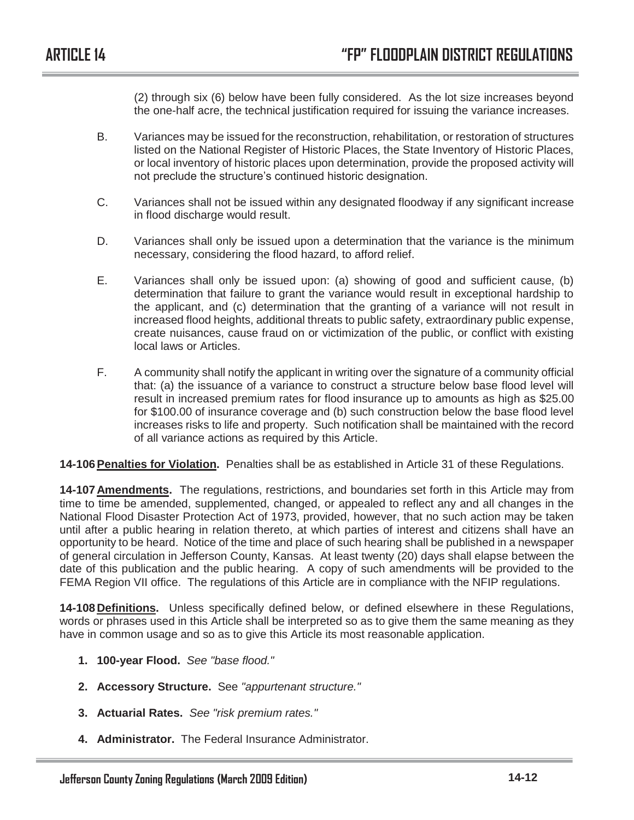(2) through six (6) below have been fully considered. As the lot size increases beyond the one-half acre, the technical justification required for issuing the variance increases.

- B. Variances may be issued for the reconstruction, rehabilitation, or restoration of structures listed on the National Register of Historic Places, the State Inventory of Historic Places, or local inventory of historic places upon determination, provide the proposed activity will not preclude the structure's continued historic designation.
- C. Variances shall not be issued within any designated floodway if any significant increase in flood discharge would result.
- D. Variances shall only be issued upon a determination that the variance is the minimum necessary, considering the flood hazard, to afford relief.
- E. Variances shall only be issued upon: (a) showing of good and sufficient cause, (b) determination that failure to grant the variance would result in exceptional hardship to the applicant, and (c) determination that the granting of a variance will not result in increased flood heights, additional threats to public safety, extraordinary public expense, create nuisances, cause fraud on or victimization of the public, or conflict with existing local laws or Articles.
- F. A community shall notify the applicant in writing over the signature of a community official that: (a) the issuance of a variance to construct a structure below base flood level will result in increased premium rates for flood insurance up to amounts as high as \$25.00 for \$100.00 of insurance coverage and (b) such construction below the base flood level increases risks to life and property. Such notification shall be maintained with the record of all variance actions as required by this Article.

**14-106 Penalties for Violation.** Penalties shall be as established in Article 31 of these Regulations.

**14-107 Amendments.** The regulations, restrictions, and boundaries set forth in this Article may from time to time be amended, supplemented, changed, or appealed to reflect any and all changes in the National Flood Disaster Protection Act of 1973, provided, however, that no such action may be taken until after a public hearing in relation thereto, at which parties of interest and citizens shall have an opportunity to be heard. Notice of the time and place of such hearing shall be published in a newspaper of general circulation in Jefferson County, Kansas. At least twenty (20) days shall elapse between the date of this publication and the public hearing. A copy of such amendments will be provided to the FEMA Region VII office. The regulations of this Article are in compliance with the NFIP regulations.

**14-108 Definitions.** Unless specifically defined below, or defined elsewhere in these Regulations, words or phrases used in this Article shall be interpreted so as to give them the same meaning as they have in common usage and so as to give this Article its most reasonable application.

- **1. 100-year Flood.** *See "base flood."*
- **2. Accessory Structure.** See *"appurtenant structure."*
- **3. Actuarial Rates.** *See "risk premium rates."*
- **4. Administrator.** The Federal Insurance Administrator.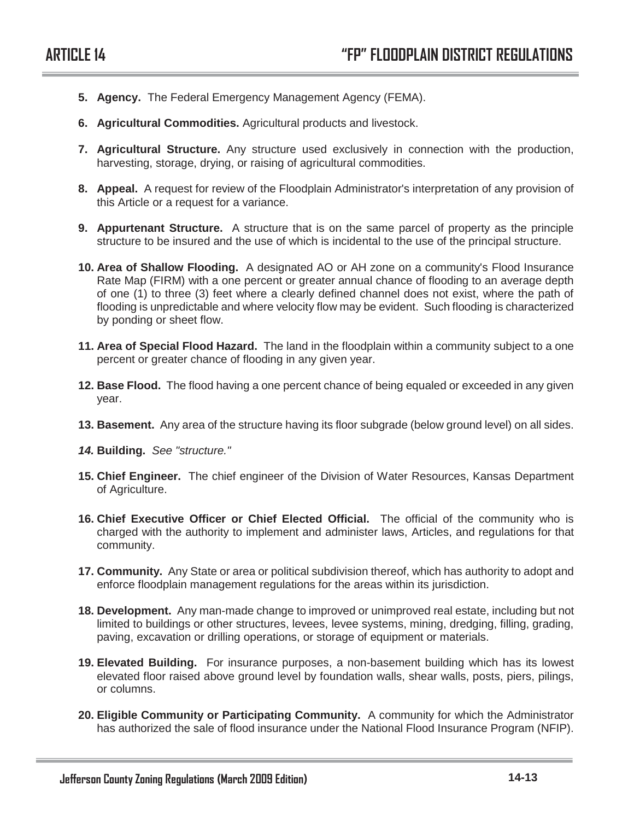- **5. Agency.** The Federal Emergency Management Agency (FEMA).
- **6. Agricultural Commodities.** Agricultural products and livestock.
- **7. Agricultural Structure.** Any structure used exclusively in connection with the production, harvesting, storage, drying, or raising of agricultural commodities.
- **8. Appeal.** A request for review of the Floodplain Administrator's interpretation of any provision of this Article or a request for a variance.
- **9. Appurtenant Structure.** A structure that is on the same parcel of property as the principle structure to be insured and the use of which is incidental to the use of the principal structure.
- **10. Area of Shallow Flooding.** A designated AO or AH zone on a community's Flood Insurance Rate Map (FIRM) with a one percent or greater annual chance of flooding to an average depth of one (1) to three (3) feet where a clearly defined channel does not exist, where the path of flooding is unpredictable and where velocity flow may be evident. Such flooding is characterized by ponding or sheet flow.
- **11. Area of Special Flood Hazard.** The land in the floodplain within a community subject to a one percent or greater chance of flooding in any given year.
- **12. Base Flood.** The flood having a one percent chance of being equaled or exceeded in any given year.
- **13. Basement.** Any area of the structure having its floor subgrade (below ground level) on all sides.
- *14.* **Building.** *See "structure."*
- **15. Chief Engineer.** The chief engineer of the Division of Water Resources, Kansas Department of Agriculture.
- **16. Chief Executive Officer or Chief Elected Official.** The official of the community who is charged with the authority to implement and administer laws, Articles, and regulations for that community.
- **17. Community.** Any State or area or political subdivision thereof, which has authority to adopt and enforce floodplain management regulations for the areas within its jurisdiction.
- **18. Development.** Any man-made change to improved or unimproved real estate, including but not limited to buildings or other structures, levees, levee systems, mining, dredging, filling, grading, paving, excavation or drilling operations, or storage of equipment or materials.
- **19. Elevated Building.** For insurance purposes, a non-basement building which has its lowest elevated floor raised above ground level by foundation walls, shear walls, posts, piers, pilings, or columns.
- **20. Eligible Community or Participating Community.** A community for which the Administrator has authorized the sale of flood insurance under the National Flood Insurance Program (NFIP).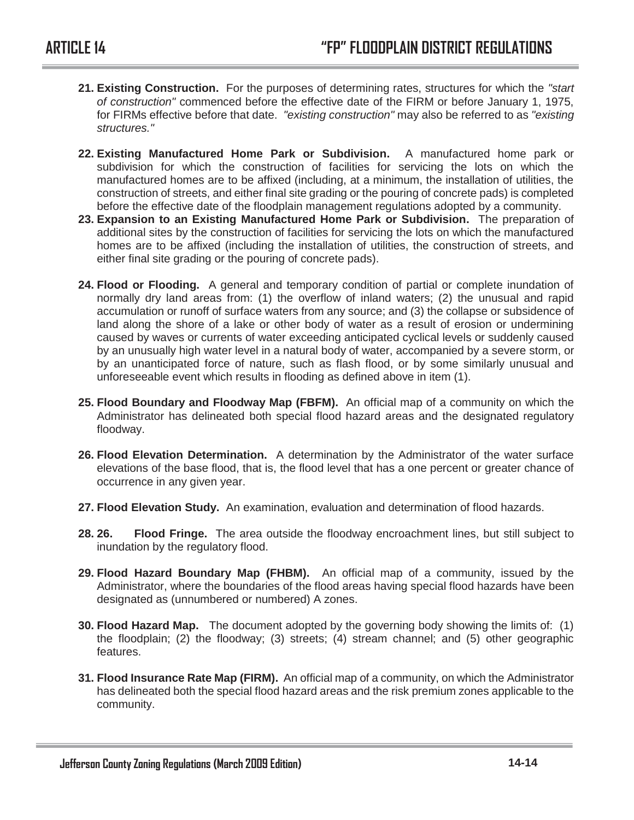- **21. Existing Construction.** For the purposes of determining rates, structures for which the *"start of construction"* commenced before the effective date of the FIRM or before January 1, 1975, for FIRMs effective before that date. *"existing construction"* may also be referred to as *"existing structures."*
- **22. Existing Manufactured Home Park or Subdivision.** A manufactured home park or subdivision for which the construction of facilities for servicing the lots on which the manufactured homes are to be affixed (including, at a minimum, the installation of utilities, the construction of streets, and either final site grading or the pouring of concrete pads) is completed before the effective date of the floodplain management regulations adopted by a community.
- **23. Expansion to an Existing Manufactured Home Park or Subdivision.** The preparation of additional sites by the construction of facilities for servicing the lots on which the manufactured homes are to be affixed (including the installation of utilities, the construction of streets, and either final site grading or the pouring of concrete pads).
- **24. Flood or Flooding.** A general and temporary condition of partial or complete inundation of normally dry land areas from: (1) the overflow of inland waters; (2) the unusual and rapid accumulation or runoff of surface waters from any source; and (3) the collapse or subsidence of land along the shore of a lake or other body of water as a result of erosion or undermining caused by waves or currents of water exceeding anticipated cyclical levels or suddenly caused by an unusually high water level in a natural body of water, accompanied by a severe storm, or by an unanticipated force of nature, such as flash flood, or by some similarly unusual and unforeseeable event which results in flooding as defined above in item (1).
- **25. Flood Boundary and Floodway Map (FBFM).** An official map of a community on which the Administrator has delineated both special flood hazard areas and the designated regulatory floodway.
- **26. Flood Elevation Determination.** A determination by the Administrator of the water surface elevations of the base flood, that is, the flood level that has a one percent or greater chance of occurrence in any given year.
- **27. Flood Elevation Study.** An examination, evaluation and determination of flood hazards.
- **28. 26. Flood Fringe.** The area outside the floodway encroachment lines, but still subject to inundation by the regulatory flood.
- **29. Flood Hazard Boundary Map (FHBM).** An official map of a community, issued by the Administrator, where the boundaries of the flood areas having special flood hazards have been designated as (unnumbered or numbered) A zones.
- **30. Flood Hazard Map.** The document adopted by the governing body showing the limits of: (1) the floodplain; (2) the floodway; (3) streets; (4) stream channel; and (5) other geographic features.
- **31. Flood Insurance Rate Map (FIRM).** An official map of a community, on which the Administrator has delineated both the special flood hazard areas and the risk premium zones applicable to the community.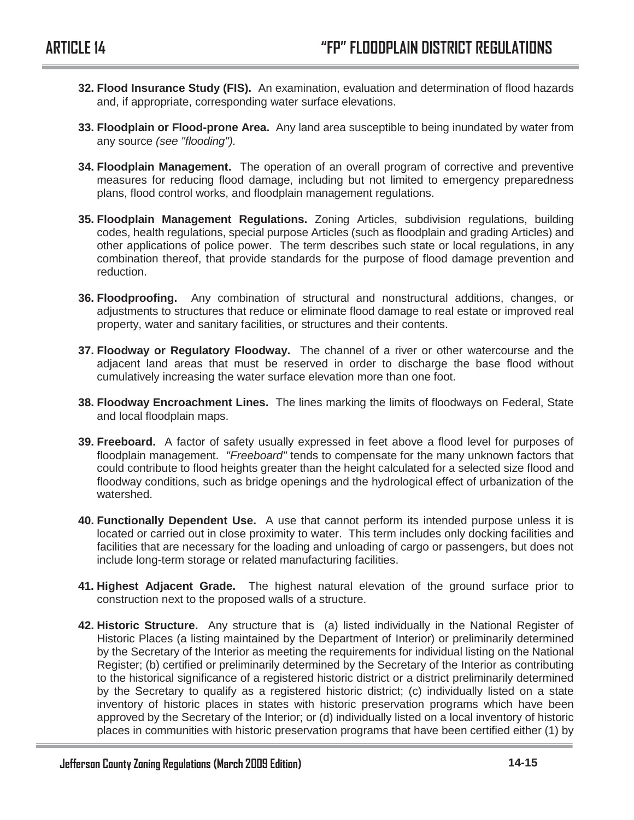- **32. Flood Insurance Study (FIS).** An examination, evaluation and determination of flood hazards and, if appropriate, corresponding water surface elevations.
- **33. Floodplain or Flood-prone Area.** Any land area susceptible to being inundated by water from any source *(see "flooding").*
- **34. Floodplain Management.** The operation of an overall program of corrective and preventive measures for reducing flood damage, including but not limited to emergency preparedness plans, flood control works, and floodplain management regulations.
- **35. Floodplain Management Regulations.** Zoning Articles, subdivision regulations, building codes, health regulations, special purpose Articles (such as floodplain and grading Articles) and other applications of police power. The term describes such state or local regulations, in any combination thereof, that provide standards for the purpose of flood damage prevention and reduction.
- **36. Floodproofing.** Any combination of structural and nonstructural additions, changes, or adjustments to structures that reduce or eliminate flood damage to real estate or improved real property, water and sanitary facilities, or structures and their contents.
- **37. Floodway or Regulatory Floodway.** The channel of a river or other watercourse and the adjacent land areas that must be reserved in order to discharge the base flood without cumulatively increasing the water surface elevation more than one foot.
- **38. Floodway Encroachment Lines.** The lines marking the limits of floodways on Federal, State and local floodplain maps.
- **39. Freeboard.** A factor of safety usually expressed in feet above a flood level for purposes of floodplain management. *"Freeboard"* tends to compensate for the many unknown factors that could contribute to flood heights greater than the height calculated for a selected size flood and floodway conditions, such as bridge openings and the hydrological effect of urbanization of the watershed.
- **40. Functionally Dependent Use.** A use that cannot perform its intended purpose unless it is located or carried out in close proximity to water. This term includes only docking facilities and facilities that are necessary for the loading and unloading of cargo or passengers, but does not include long-term storage or related manufacturing facilities.
- **41. Highest Adjacent Grade.** The highest natural elevation of the ground surface prior to construction next to the proposed walls of a structure.
- **42. Historic Structure.** Any structure that is (a) listed individually in the National Register of Historic Places (a listing maintained by the Department of Interior) or preliminarily determined by the Secretary of the Interior as meeting the requirements for individual listing on the National Register; (b) certified or preliminarily determined by the Secretary of the Interior as contributing to the historical significance of a registered historic district or a district preliminarily determined by the Secretary to qualify as a registered historic district; (c) individually listed on a state inventory of historic places in states with historic preservation programs which have been approved by the Secretary of the Interior; or (d) individually listed on a local inventory of historic places in communities with historic preservation programs that have been certified either (1) by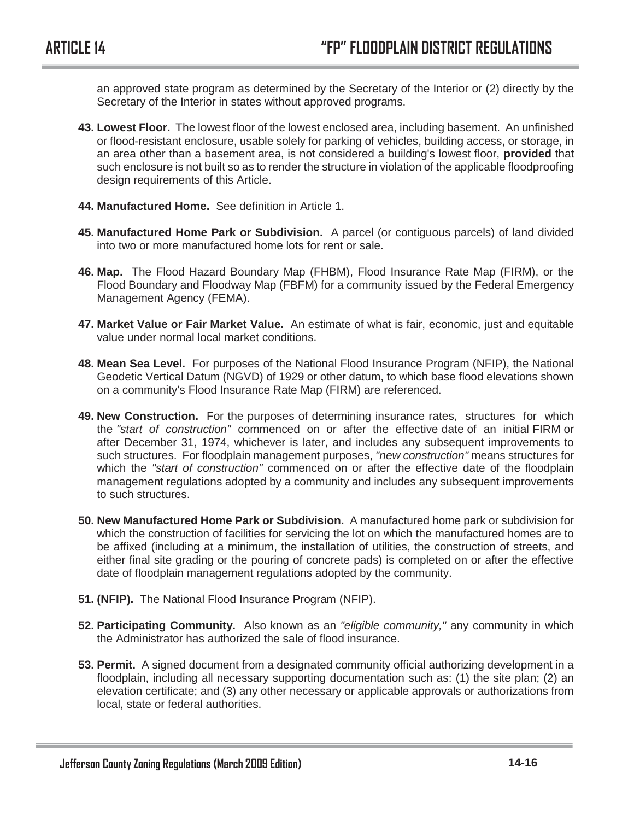an approved state program as determined by the Secretary of the Interior or (2) directly by the Secretary of the Interior in states without approved programs.

- **43. Lowest Floor.** The lowest floor of the lowest enclosed area, including basement. An unfinished or flood-resistant enclosure, usable solely for parking of vehicles, building access, or storage, in an area other than a basement area, is not considered a building's lowest floor, **provided** that such enclosure is not built so as to render the structure in violation of the applicable floodproofing design requirements of this Article.
- **44. Manufactured Home.** See definition in Article 1.
- **45. Manufactured Home Park or Subdivision.** A parcel (or contiguous parcels) of land divided into two or more manufactured home lots for rent or sale.
- **46. Map.** The Flood Hazard Boundary Map (FHBM), Flood Insurance Rate Map (FIRM), or the Flood Boundary and Floodway Map (FBFM) for a community issued by the Federal Emergency Management Agency (FEMA).
- **47. Market Value or Fair Market Value.** An estimate of what is fair, economic, just and equitable value under normal local market conditions.
- **48. Mean Sea Level.** For purposes of the National Flood Insurance Program (NFIP), the National Geodetic Vertical Datum (NGVD) of 1929 or other datum, to which base flood elevations shown on a community's Flood Insurance Rate Map (FIRM) are referenced.
- **49. New Construction.** For the purposes of determining insurance rates, structures for which the *"start of construction"* commenced on or after the effective date of an initial FIRM or after December 31, 1974, whichever is later, and includes any subsequent improvements to such structures. For floodplain management purposes, *"new construction"* means structures for which the *"start of construction"* commenced on or after the effective date of the floodplain management regulations adopted by a community and includes any subsequent improvements to such structures.
- **50. New Manufactured Home Park or Subdivision.** A manufactured home park or subdivision for which the construction of facilities for servicing the lot on which the manufactured homes are to be affixed (including at a minimum, the installation of utilities, the construction of streets, and either final site grading or the pouring of concrete pads) is completed on or after the effective date of floodplain management regulations adopted by the community.
- **51. (NFIP).** The National Flood Insurance Program (NFIP).
- **52. Participating Community.** Also known as an *"eligible community,"* any community in which the Administrator has authorized the sale of flood insurance.
- **53. Permit.** A signed document from a designated community official authorizing development in a floodplain, including all necessary supporting documentation such as: (1) the site plan; (2) an elevation certificate; and (3) any other necessary or applicable approvals or authorizations from local, state or federal authorities.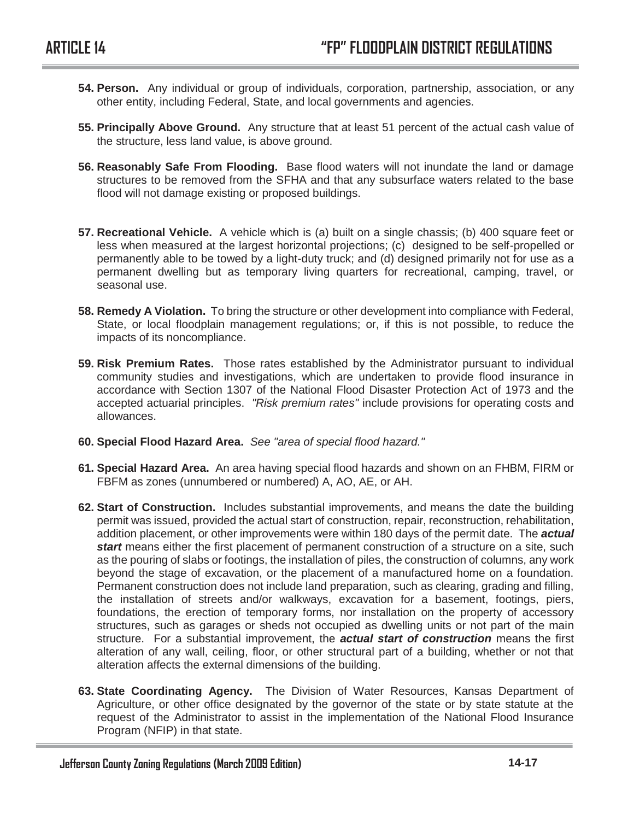- **54. Person.** Any individual or group of individuals, corporation, partnership, association, or any other entity, including Federal, State, and local governments and agencies.
- **55. Principally Above Ground.** Any structure that at least 51 percent of the actual cash value of the structure, less land value, is above ground.
- **56. Reasonably Safe From Flooding.** Base flood waters will not inundate the land or damage structures to be removed from the SFHA and that any subsurface waters related to the base flood will not damage existing or proposed buildings.
- **57. Recreational Vehicle.** A vehicle which is (a) built on a single chassis; (b) 400 square feet or less when measured at the largest horizontal projections; (c) designed to be self-propelled or permanently able to be towed by a light-duty truck; and (d) designed primarily not for use as a permanent dwelling but as temporary living quarters for recreational, camping, travel, or seasonal use.
- **58. Remedy A Violation.** To bring the structure or other development into compliance with Federal, State, or local floodplain management regulations; or, if this is not possible, to reduce the impacts of its noncompliance.
- **59. Risk Premium Rates.** Those rates established by the Administrator pursuant to individual community studies and investigations, which are undertaken to provide flood insurance in accordance with Section 1307 of the National Flood Disaster Protection Act of 1973 and the accepted actuarial principles. *"Risk premium rates"* include provisions for operating costs and allowances.
- **60. Special Flood Hazard Area.** *See "area of special flood hazard."*
- **61. Special Hazard Area.** An area having special flood hazards and shown on an FHBM, FIRM or FBFM as zones (unnumbered or numbered) A, AO, AE, or AH.
- **62. Start of Construction.** Includes substantial improvements, and means the date the building permit was issued, provided the actual start of construction, repair, reconstruction, rehabilitation, addition placement, or other improvements were within 180 days of the permit date. The *actual start* means either the first placement of permanent construction of a structure on a site, such as the pouring of slabs or footings, the installation of piles, the construction of columns, any work beyond the stage of excavation, or the placement of a manufactured home on a foundation. Permanent construction does not include land preparation, such as clearing, grading and filling, the installation of streets and/or walkways, excavation for a basement, footings, piers, foundations, the erection of temporary forms, nor installation on the property of accessory structures, such as garages or sheds not occupied as dwelling units or not part of the main structure. For a substantial improvement, the *actual start of construction* means the first alteration of any wall, ceiling, floor, or other structural part of a building, whether or not that alteration affects the external dimensions of the building.
- **63. State Coordinating Agency.** The Division of Water Resources, Kansas Department of Agriculture, or other office designated by the governor of the state or by state statute at the request of the Administrator to assist in the implementation of the National Flood Insurance Program (NFIP) in that state.